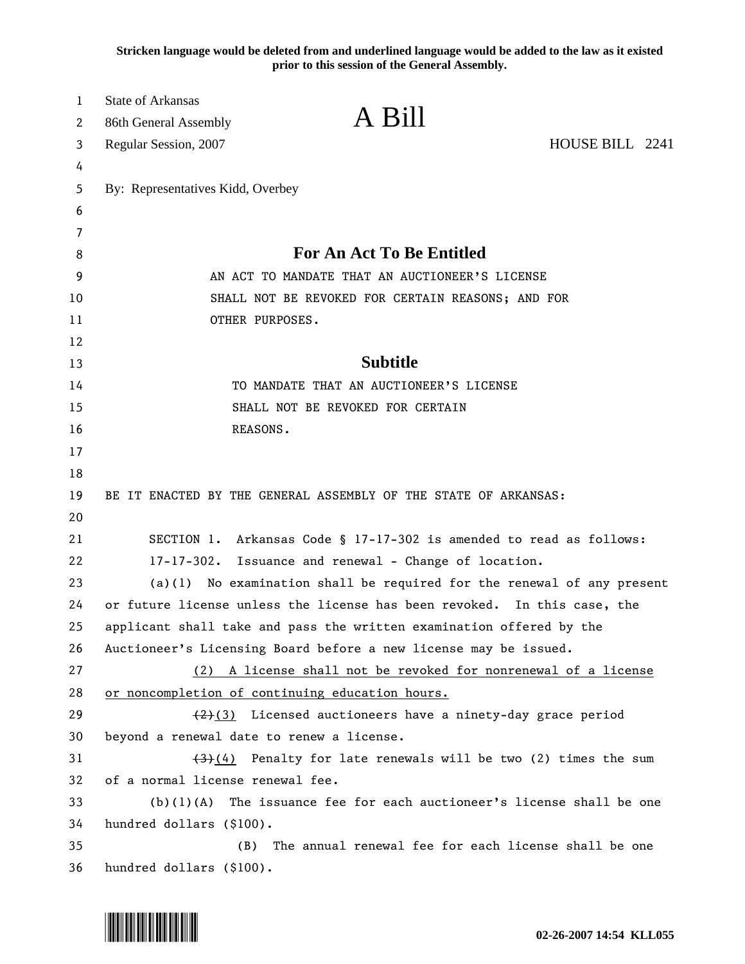**Stricken language would be deleted from and underlined language would be added to the law as it existed prior to this session of the General Assembly.**

| $\mathbf 1$ | <b>State of Arkansas</b>                                                   |  |
|-------------|----------------------------------------------------------------------------|--|
| 2           | A Bill<br>86th General Assembly                                            |  |
| 3           | HOUSE BILL 2241<br>Regular Session, 2007                                   |  |
| 4           |                                                                            |  |
| 5           | By: Representatives Kidd, Overbey                                          |  |
| 6           |                                                                            |  |
| 7           |                                                                            |  |
| 8           | <b>For An Act To Be Entitled</b>                                           |  |
| 9           | AN ACT TO MANDATE THAT AN AUCTIONEER'S LICENSE                             |  |
| 10          | SHALL NOT BE REVOKED FOR CERTAIN REASONS; AND FOR                          |  |
| 11          | OTHER PURPOSES.                                                            |  |
| 12          |                                                                            |  |
| 13          | <b>Subtitle</b>                                                            |  |
| 14          | TO MANDATE THAT AN AUCTIONEER'S LICENSE                                    |  |
| 15          | SHALL NOT BE REVOKED FOR CERTAIN                                           |  |
| 16          | REASONS.                                                                   |  |
| 17          |                                                                            |  |
| 18          |                                                                            |  |
| 19          | BE IT ENACTED BY THE GENERAL ASSEMBLY OF THE STATE OF ARKANSAS:            |  |
| 20          |                                                                            |  |
| 21          | SECTION 1. Arkansas Code § 17-17-302 is amended to read as follows:        |  |
| 22          | 17-17-302. Issuance and renewal - Change of location.                      |  |
| 23          | $(a)(1)$ No examination shall be required for the renewal of any present   |  |
| 24          | or future license unless the license has been revoked. In this case, the   |  |
| 25          | applicant shall take and pass the written examination offered by the       |  |
| 26          | Auctioneer's Licensing Board before a new license may be issued.           |  |
| 27          | A license shall not be revoked for nonrenewal of a license<br>(2)          |  |
| 28          | or noncompletion of continuing education hours.                            |  |
| 29          | $(2)(3)$ Licensed auctioneers have a ninety-day grace period               |  |
| 30          | beyond a renewal date to renew a license.                                  |  |
| 31          | $(3)$ (4) Penalty for late renewals will be two (2) times the sum          |  |
| 32          | of a normal license renewal fee.                                           |  |
| 33          | (b) (1) (A)<br>The issuance fee for each auctioneer's license shall be one |  |
| 34          | hundred dollars (\$100).                                                   |  |
| 35          | The annual renewal fee for each license shall be one<br>(B)                |  |
| 36          | hundred dollars (\$100).                                                   |  |

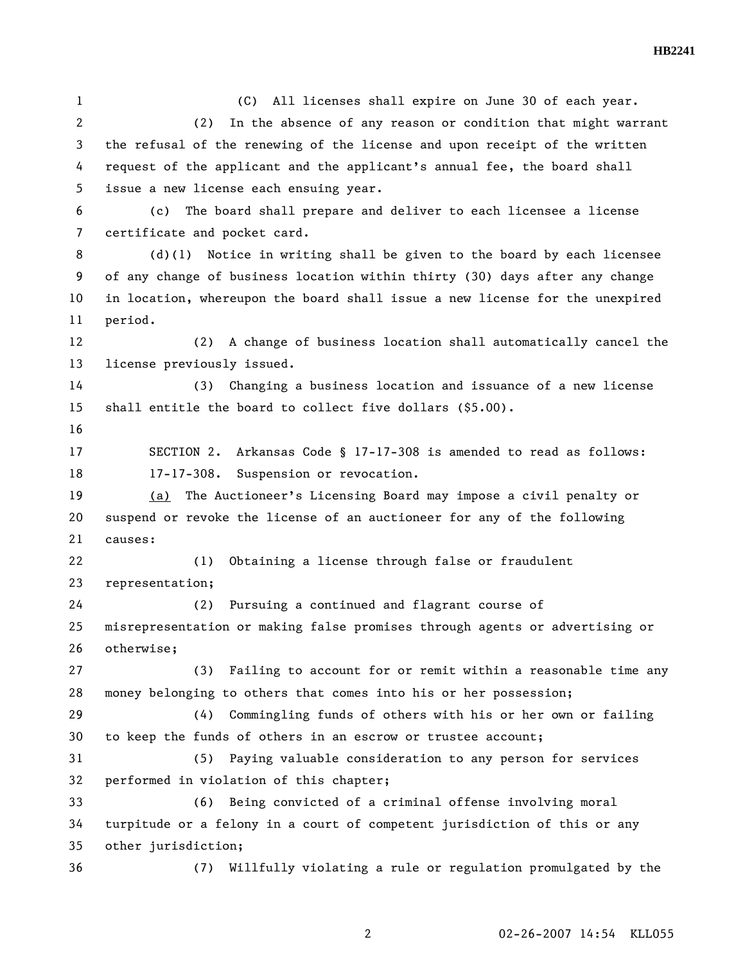**HB2241** 

1 (C) All licenses shall expire on June 30 of each year. 2 (2) In the absence of any reason or condition that might warrant 3 the refusal of the renewing of the license and upon receipt of the written 4 request of the applicant and the applicant's annual fee, the board shall 5 issue a new license each ensuing year. 6 (c) The board shall prepare and deliver to each licensee a license 7 certificate and pocket card. 8 (d)(1) Notice in writing shall be given to the board by each licensee 9 of any change of business location within thirty (30) days after any change 10 in location, whereupon the board shall issue a new license for the unexpired 11 period. 12 (2) A change of business location shall automatically cancel the 13 license previously issued. 14 (3) Changing a business location and issuance of a new license 15 shall entitle the board to collect five dollars (\$5.00). 16 17 SECTION 2. Arkansas Code § 17-17-308 is amended to read as follows: 18 17-17-308. Suspension or revocation. 19 (a) The Auctioneer's Licensing Board may impose a civil penalty or 20 suspend or revoke the license of an auctioneer for any of the following 21 causes: 22 (1) Obtaining a license through false or fraudulent 23 representation; 24 (2) Pursuing a continued and flagrant course of 25 misrepresentation or making false promises through agents or advertising or 26 otherwise; 27 (3) Failing to account for or remit within a reasonable time any 28 money belonging to others that comes into his or her possession; 29 (4) Commingling funds of others with his or her own or failing 30 to keep the funds of others in an escrow or trustee account; 31 (5) Paying valuable consideration to any person for services 32 performed in violation of this chapter; 33 (6) Being convicted of a criminal offense involving moral 34 turpitude or a felony in a court of competent jurisdiction of this or any 35 other jurisdiction; 36 (7) Willfully violating a rule or regulation promulgated by the

2 02-26-2007 14:54 KLL055